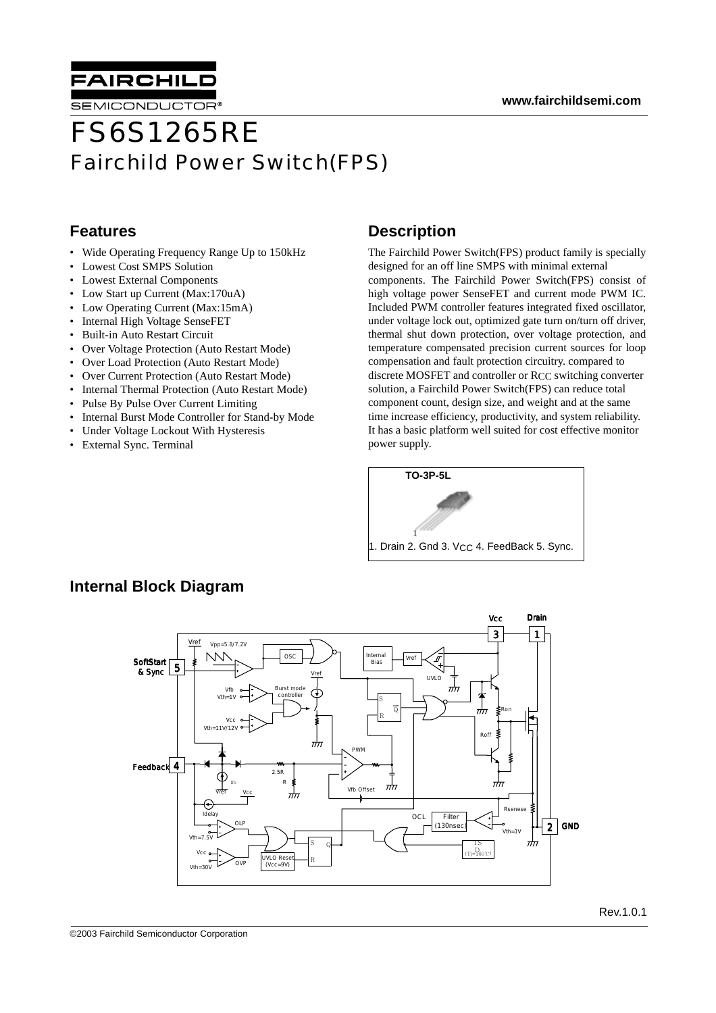

SEMICONDUCTOR

# FS6S1265RE Fairchild Power Switch(FPS)

#### **Features**

- Wide Operating Frequency Range Up to 150kHz
- Lowest Cost SMPS Solution
- Lowest External Components
- Low Start up Current (Max:170uA)
- Low Operating Current (Max:15mA)
- Internal High Voltage SenseFET
- Built-in Auto Restart Circuit
- Over Voltage Protection (Auto Restart Mode)
- Over Load Protection (Auto Restart Mode)
- Over Current Protection (Auto Restart Mode)
- Internal Thermal Protection (Auto Restart Mode)
- Pulse By Pulse Over Current Limiting
- Internal Burst Mode Controller for Stand-by Mode
- Under Voltage Lockout With Hysteresis
- External Sync. Terminal

### **Description**

The Fairchild Power Switch(FPS) product family is specially designed for an off line SMPS with minimal external components. The Fairchild Power Switch(FPS) consist of high voltage power SenseFET and current mode PWM IC. Included PWM controller features integrated fixed oscillator, under voltage lock out, optimized gate turn on/turn off driver, thermal shut down protection, over voltage protection, and temperature compensated precision current sources for loop compensation and fault protection circuitry. compared to discrete MOSFET and controller or RCC switching converter solution, a Fairchild Power Switch(FPS) can reduce total component count, design size, and weight and at the same time increase efficiency, productivity, and system reliability. It has a basic platform well suited for cost effective monitor power supply.



### **Internal Block Diagram**

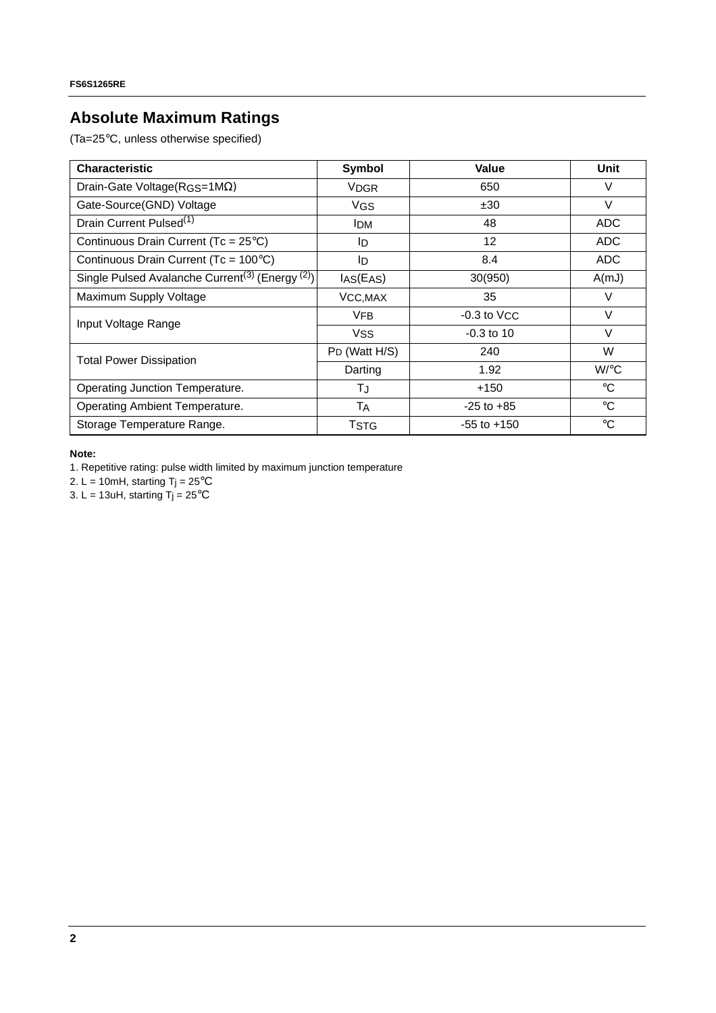## **Absolute Maximum Ratings**

(Ta=25°C, unless otherwise specified)

| <b>Characteristic</b>                                                   | Symbol        | <b>Value</b>    | Unit            |
|-------------------------------------------------------------------------|---------------|-----------------|-----------------|
| Drain-Gate Voltage( $RGS=1M\Omega$ )                                    | <b>VDGR</b>   | 650             | V               |
| Gate-Source(GND) Voltage                                                | <b>VGS</b>    | ±30             | $\vee$          |
| Drain Current Pulsed <sup>(1)</sup>                                     | <b>IDM</b>    | 48              | <b>ADC</b>      |
| Continuous Drain Current (Tc = 25°C)                                    | ID.           | 12              | <b>ADC</b>      |
| Continuous Drain Current (Tc = $100^{\circ}$ C)                         | ID            | 8.4             | ADC             |
| Single Pulsed Avalanche Current <sup>(3)</sup> (Energy <sup>(2)</sup> ) | IAS(EAS)      | 30(950)         | A(mJ)           |
| Maximum Supply Voltage                                                  | VCC, MAX      | 35              | V               |
| Input Voltage Range                                                     | <b>VFB</b>    | $-0.3$ to $VCC$ | $\vee$          |
|                                                                         | <b>VSS</b>    | $-0.3$ to 10    | V               |
| <b>Total Power Dissipation</b>                                          | PD (Watt H/S) | 240             | W               |
|                                                                         | Darting       | 1.92            | $W$ /°C         |
| Operating Junction Temperature.                                         | ТJ            | $+150$          | $\rm ^{\circ}C$ |
| Operating Ambient Temperature.                                          | Tд            | $-25$ to $+85$  | $^{\circ}C$     |
| Storage Temperature Range.                                              | <b>TSTG</b>   | $-55$ to $+150$ | $\rm ^{\circ}C$ |

**Note:**

1. Repetitive rating: pulse width limited by maximum junction temperature

2. L = 10mH, starting  $T_j = 25^{\circ}C$ 

3. L = 13uH, starting  $T_1 = 25^{\circ}$ C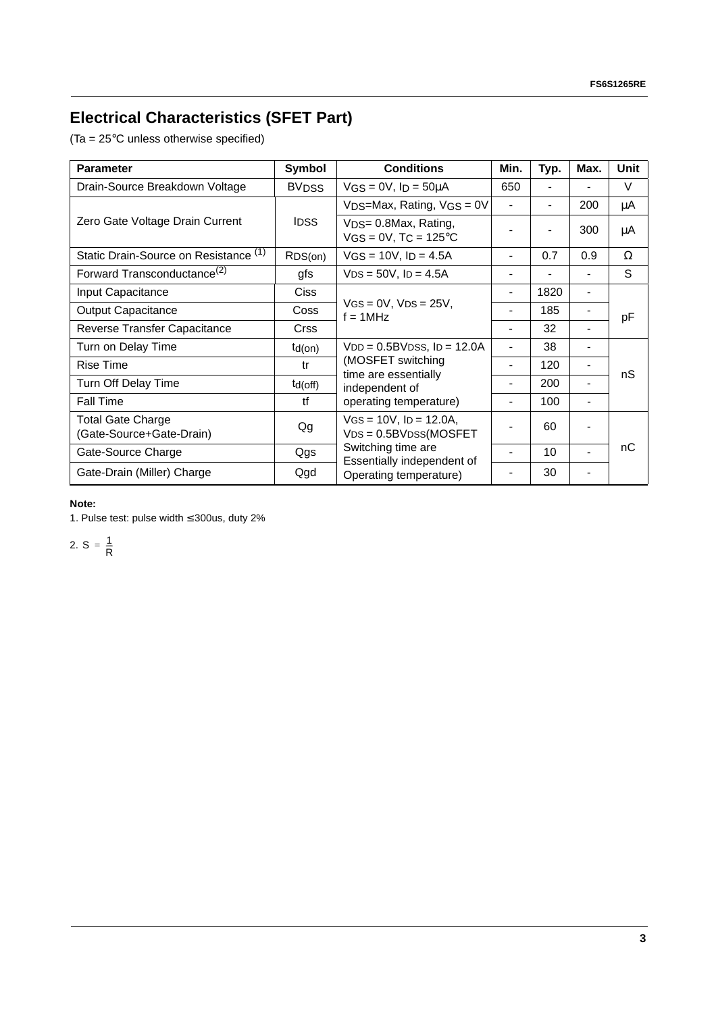# **Electrical Characteristics (SFET Part)**

(Ta = 25°C unless otherwise specified)

| <b>Parameter</b>                                     | Symbol        | <b>Conditions</b>                                                                                                        | Min.                         | Typ.                     | Max.                         | Unit |
|------------------------------------------------------|---------------|--------------------------------------------------------------------------------------------------------------------------|------------------------------|--------------------------|------------------------------|------|
| Drain-Source Breakdown Voltage                       | <b>BVDSS</b>  | $VGS = 0V$ , $I_D = 50 \mu A$                                                                                            | 650                          | $\overline{\phantom{a}}$ |                              | V    |
| Zero Gate Voltage Drain Current                      | <b>IDSS</b>   | $VDS=Max$ , Rating, $VGS = 0V$                                                                                           | $\overline{a}$               |                          | 200                          | μA   |
|                                                      |               | V <sub>DS</sub> = 0.8Max, Rating,<br>$VGS = 0V$ , T $C = 125^{\circ}C$                                                   |                              |                          | 300                          | μA   |
| Static Drain-Source on Resistance (1)                | RDS(on)       | $VGS = 10V$ , $I_D = 4.5A$                                                                                               |                              | 0.7                      | 0.9                          | Ω    |
| Forward Transconductance <sup>(2)</sup>              | gfs           | $VDS = 50V$ , $ID = 4.5A$                                                                                                |                              |                          | $\overline{a}$               | S    |
| Input Capacitance                                    | <b>Ciss</b>   | $VGS = 0V$ , $VDS = 25V$ ,<br>$f = 1$ MHz                                                                                | $\qquad \qquad \blacksquare$ | 1820                     | $\overline{\phantom{a}}$     | pF   |
| <b>Output Capacitance</b>                            | Coss          |                                                                                                                          |                              | 185                      | $\blacksquare$               |      |
| Reverse Transfer Capacitance                         | <b>Crss</b>   |                                                                                                                          |                              | 32                       | $\blacksquare$               |      |
| Turn on Delay Time                                   | $td($ on $)$  | $VDD = 0.5BVDSS$ , $ID = 12.0A$<br>(MOSFET switching<br>time are essentially<br>independent of<br>operating temperature) |                              | 38                       |                              |      |
| <b>Rise Time</b>                                     | tr            |                                                                                                                          |                              | 120                      |                              | nS   |
| Turn Off Delay Time                                  | $td($ off $)$ |                                                                                                                          |                              | 200                      | $\blacksquare$               |      |
| <b>Fall Time</b>                                     | tf            |                                                                                                                          |                              | 100                      | $\qquad \qquad \blacksquare$ |      |
| <b>Total Gate Charge</b><br>(Gate-Source+Gate-Drain) | Qg            | $VGS = 10V$ , $ID = 12.0A$ ,<br>$VDS = 0.5BVDSS(MOSFET)$<br>Switching time are<br>Essentially independent of             |                              | 60                       |                              |      |
| Gate-Source Charge                                   | Qgs           |                                                                                                                          |                              | 10                       |                              | nС   |
| Gate-Drain (Miller) Charge                           | Qgd           | Operating temperature)                                                                                                   |                              | 30                       |                              |      |

#### **Note:**

1. Pulse test: pulse width ≤ 300us, duty 2%

2.  $S = \frac{1}{R}$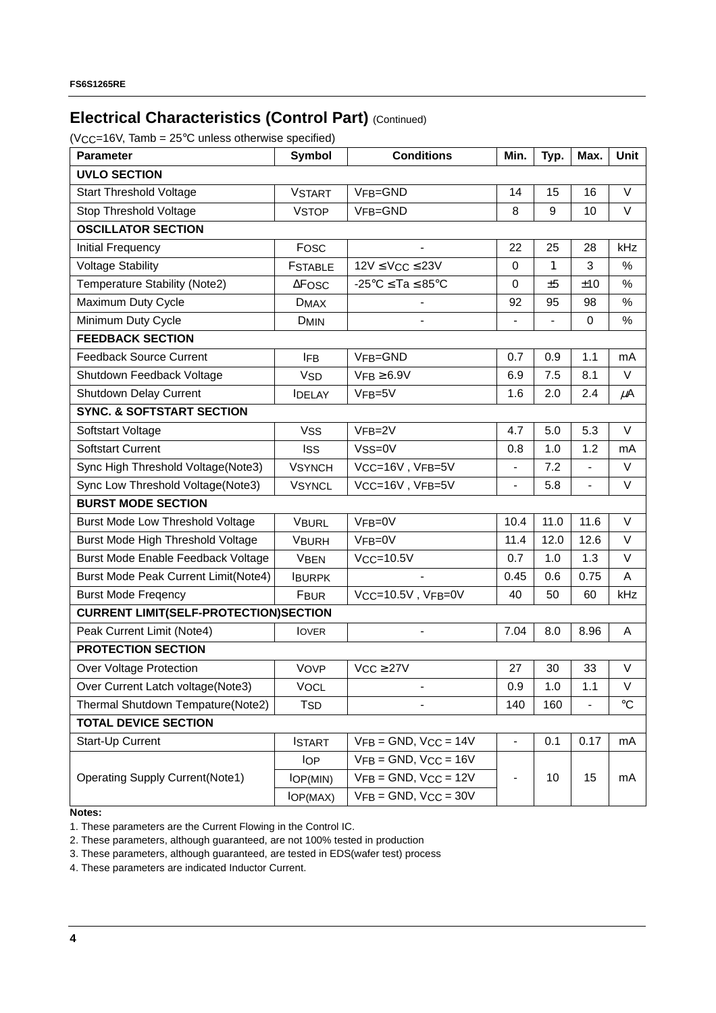## **Electrical Characteristics (Control Part) (Continued)**

 $(VCC=16V, Tamb = 25°C$  unless otherwise specified)

| $\mathcal{L} \cup \mathcal{L}$ . For $\mathcal{L} \cup \mathcal{L}$ and $\mathcal{L} \cup \mathcal{L}$ and $\mathcal{L} \cup \mathcal{L}$ and $\mathcal{L} \cup \mathcal{L}$ and $\mathcal{L} \cup \mathcal{L}$<br><b>Parameter</b> | <b>Symbol</b>          | <b>Conditions</b>                              | Min.                     | Typ.         | Max.          | Unit            |  |
|-------------------------------------------------------------------------------------------------------------------------------------------------------------------------------------------------------------------------------------|------------------------|------------------------------------------------|--------------------------|--------------|---------------|-----------------|--|
| <b>UVLO SECTION</b>                                                                                                                                                                                                                 |                        |                                                |                          |              |               |                 |  |
| <b>Start Threshold Voltage</b>                                                                                                                                                                                                      | <b>VSTART</b>          | VFB=GND                                        | 14                       | 15           | 16            | $\vee$          |  |
| Stop Threshold Voltage                                                                                                                                                                                                              | <b>VSTOP</b>           | VFB=GND                                        | 8                        | 9            | 10            | $\vee$          |  |
| <b>OSCILLATOR SECTION</b>                                                                                                                                                                                                           |                        |                                                |                          |              |               |                 |  |
| Initial Frequency                                                                                                                                                                                                                   | Fosc                   |                                                | 22                       | 25           | 28            | kHz             |  |
| <b>Voltage Stability</b>                                                                                                                                                                                                            | <b>FSTABLE</b>         | $12V \leq VCC \leq 23V$                        | 0                        | $\mathbf{1}$ | 3             | $\%$            |  |
| Temperature Stability (Note2)                                                                                                                                                                                                       | $\Delta$ FOSC          | $-25^{\circ}$ C $\le$ Ta $\le$ 85 $^{\circ}$ C | $\pmb{0}$                | ±5           | ±10           | %               |  |
| Maximum Duty Cycle                                                                                                                                                                                                                  | <b>DMAX</b>            |                                                | 92                       | 95           | 98            | %               |  |
| Minimum Duty Cycle                                                                                                                                                                                                                  | <b>DMIN</b>            |                                                |                          |              | 0             | $\%$            |  |
| <b>FEEDBACK SECTION</b>                                                                                                                                                                                                             |                        |                                                |                          |              |               |                 |  |
| <b>Feedback Source Current</b>                                                                                                                                                                                                      | <b>IFB</b>             | VFB=GND                                        | 0.7                      | 0.9          | 1.1           | mA              |  |
| Shutdown Feedback Voltage                                                                                                                                                                                                           | <b>V<sub>SD</sub></b>  | $VFB \geq 6.9V$                                | 6.9                      | 7.5          | 8.1           | V               |  |
| Shutdown Delay Current                                                                                                                                                                                                              | <b>IDELAY</b>          | VFB=5V                                         | 1.6                      | 2.0          | 2.4           | $\mu$ A         |  |
| <b>SYNC. &amp; SOFTSTART SECTION</b>                                                                                                                                                                                                |                        |                                                |                          |              |               |                 |  |
| Softstart Voltage                                                                                                                                                                                                                   | <b>VSS</b>             | VFB=2V                                         | 4.7                      | 5.0          | 5.3           | V               |  |
| <b>Softstart Current</b>                                                                                                                                                                                                            | <b>ISS</b>             | Vss=0V                                         | 0.8                      | 1.0          | 1.2           | mA              |  |
| Sync High Threshold Voltage(Note3)                                                                                                                                                                                                  | <b>VSYNCH</b>          | VCC=16V, VFB=5V                                | $\overline{\phantom{0}}$ | 7.2          |               | V               |  |
| Sync Low Threshold Voltage(Note3)                                                                                                                                                                                                   | <b>VSYNCL</b>          | VCC=16V, VFB=5V                                | $\overline{\phantom{0}}$ | 5.8          | $\frac{1}{2}$ | $\vee$          |  |
| <b>BURST MODE SECTION</b>                                                                                                                                                                                                           |                        |                                                |                          |              |               |                 |  |
| Burst Mode Low Threshold Voltage                                                                                                                                                                                                    | <b>VBURL</b>           | $VFB=0V$                                       | 10.4                     | 11.0         | 11.6          | V               |  |
| Burst Mode High Threshold Voltage                                                                                                                                                                                                   | <b>VBURH</b>           | $VFB = 0V$                                     | 11.4                     | 12.0         | 12.6          | V               |  |
| Burst Mode Enable Feedback Voltage                                                                                                                                                                                                  | <b>VBEN</b>            | $VCC = 10.5V$                                  | 0.7                      | 1.0          | 1.3           | $\vee$          |  |
| <b>Burst Mode Peak Current Limit(Note4)</b>                                                                                                                                                                                         | <b>IBURPK</b>          |                                                | 0.45                     | 0.6          | 0.75          | A               |  |
| <b>Burst Mode Freqency</b>                                                                                                                                                                                                          | <b>FBUR</b>            | VCC=10.5V, VFB=0V                              | 40                       | 50           | 60            | kHz             |  |
| <b>CURRENT LIMIT(SELF-PROTECTION)SECTION</b>                                                                                                                                                                                        |                        |                                                |                          |              |               |                 |  |
| Peak Current Limit (Note4)                                                                                                                                                                                                          | <b>IOVER</b>           | $\overline{\phantom{0}}$                       | 7.04                     | 8.0          | 8.96          | Α               |  |
| <b>PROTECTION SECTION</b>                                                                                                                                                                                                           |                        |                                                |                          |              |               |                 |  |
| <b>Over Voltage Protection</b>                                                                                                                                                                                                      | VOVP                   | $VCC \geq 27V$                                 | 27                       | 30           | 33            | V               |  |
| Over Current Latch voltage(Note3)                                                                                                                                                                                                   | <b>VOCL</b>            |                                                | 0.9                      | 1.0          | 1.1           | V               |  |
| Thermal Shutdown Tempature(Note2)                                                                                                                                                                                                   | <b>T</b> <sub>SD</sub> |                                                | 140                      | 160          |               | $\rm ^{\circ}C$ |  |
| <b>TOTAL DEVICE SECTION</b>                                                                                                                                                                                                         |                        |                                                |                          |              |               |                 |  |
| Start-Up Current                                                                                                                                                                                                                    | <b>ISTART</b>          | $VFB = GND$ , $VCC = 14V$                      | $\overline{\phantom{0}}$ | 0.1          | 0.17          | mA              |  |
|                                                                                                                                                                                                                                     | <b>IOP</b>             | $VFB = GND$ , $VCC = 16V$                      |                          |              |               |                 |  |
| <b>Operating Supply Current(Note1)</b>                                                                                                                                                                                              | IOP(MIN)               | $VFB = GND$ , $VCC = 12V$                      | -                        | 10           | 15            | mA              |  |
|                                                                                                                                                                                                                                     | IOP(MAX)               | $VFB = GND$ , $VCC = 30V$                      |                          |              |               |                 |  |

**Notes:**

1. These parameters are the Current Flowing in the Control IC.

2. These parameters, although guaranteed, are not 100% tested in production

3. These parameters, although guaranteed, are tested in EDS(wafer test) process

4. These parameters are indicated Inductor Current.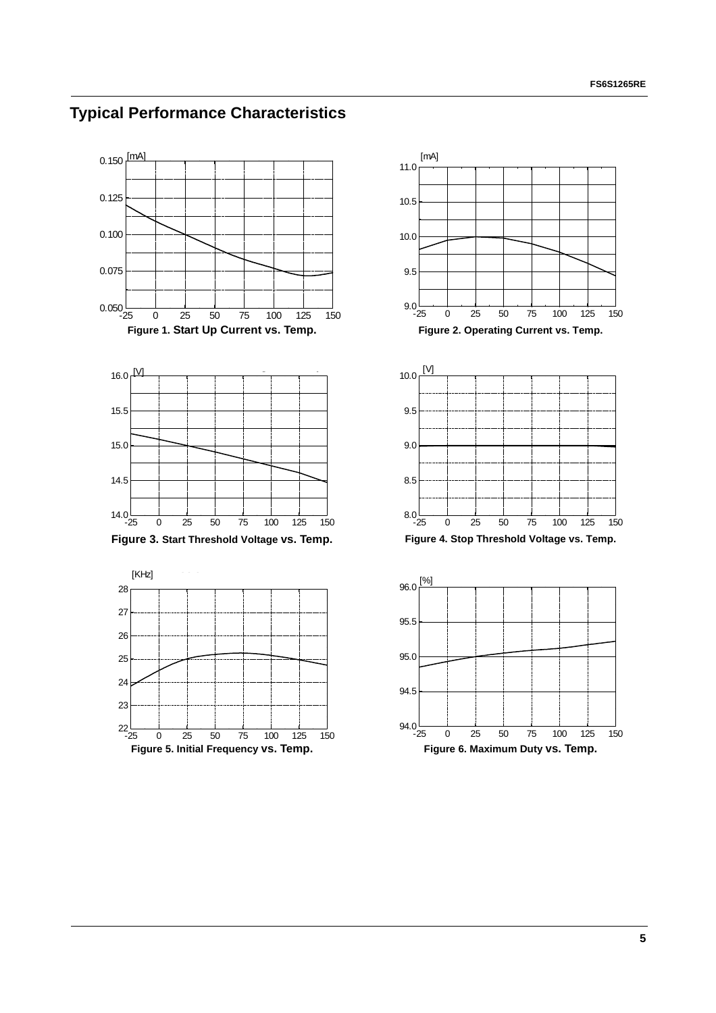













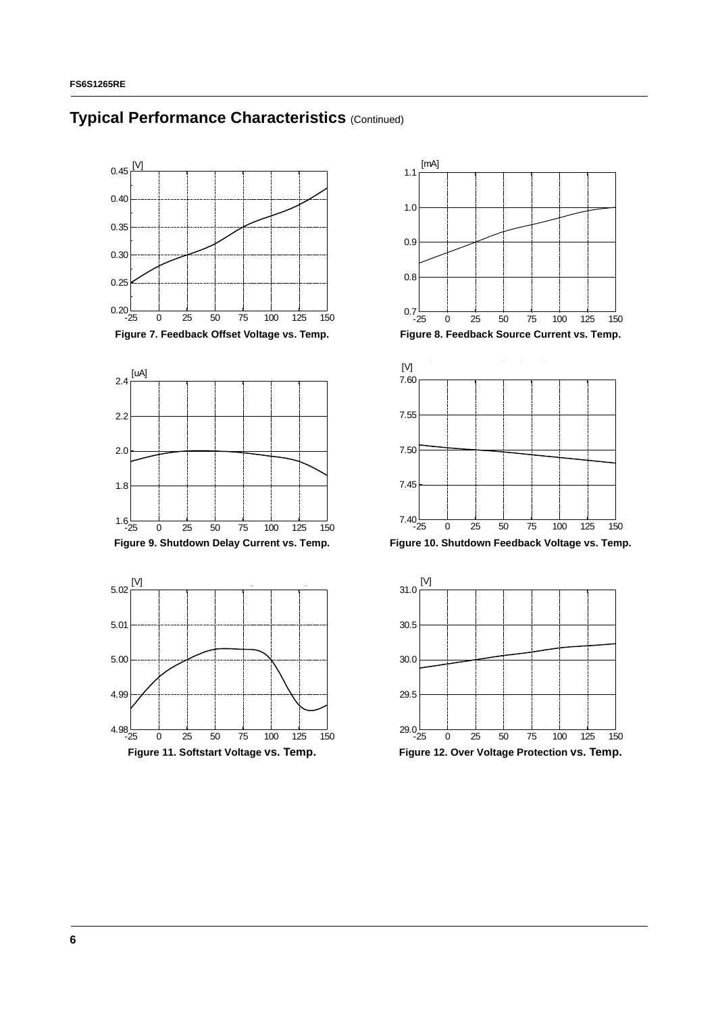





 $1.1 \frac{[mA]}{[TPR]}$  **Feedback Source Current values** 

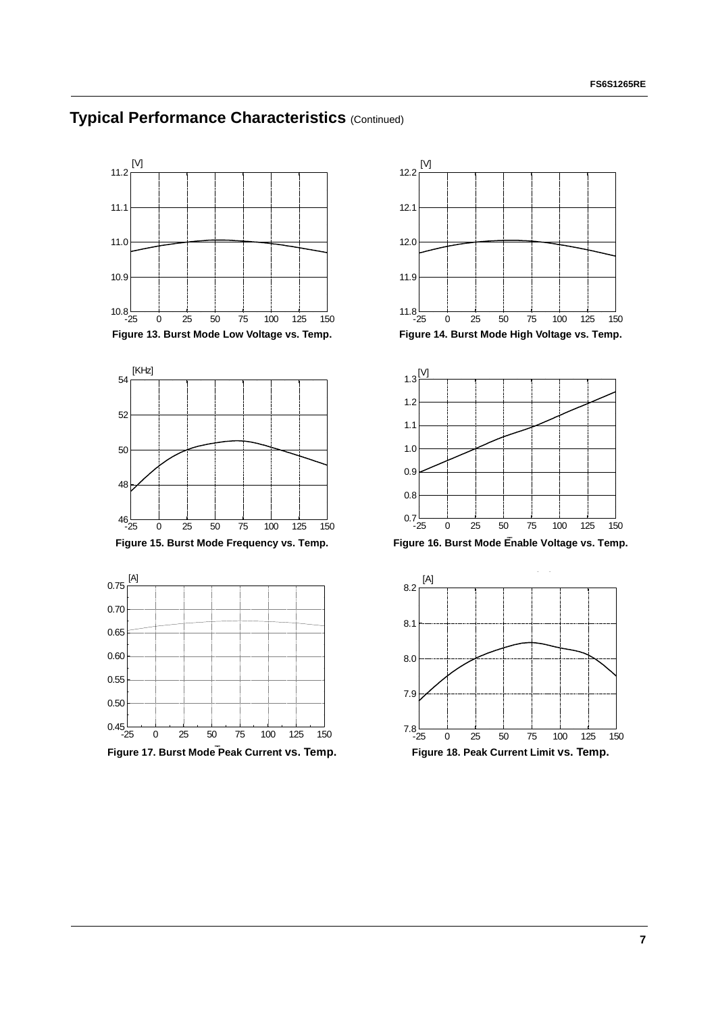

**Typical Performance Characteristics (Continued)** 





[V] **Burst Mode High Voltage vs. Temp**

12.2

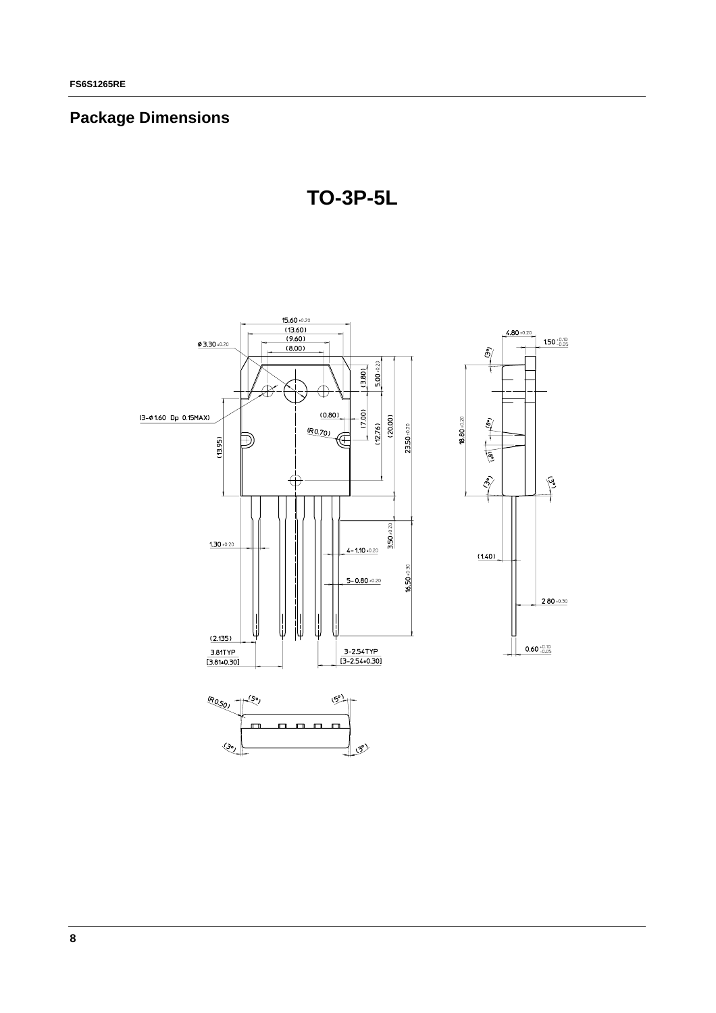## **Package Dimensions**

**TO-3P-5L**

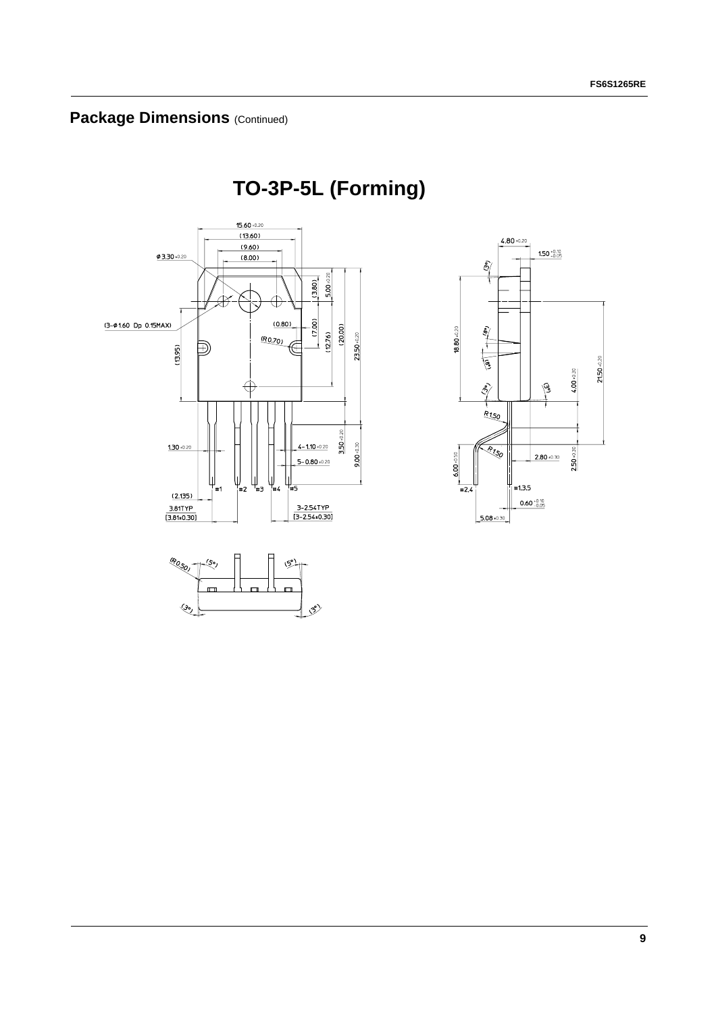# **TO-3P-5L (Forming)**